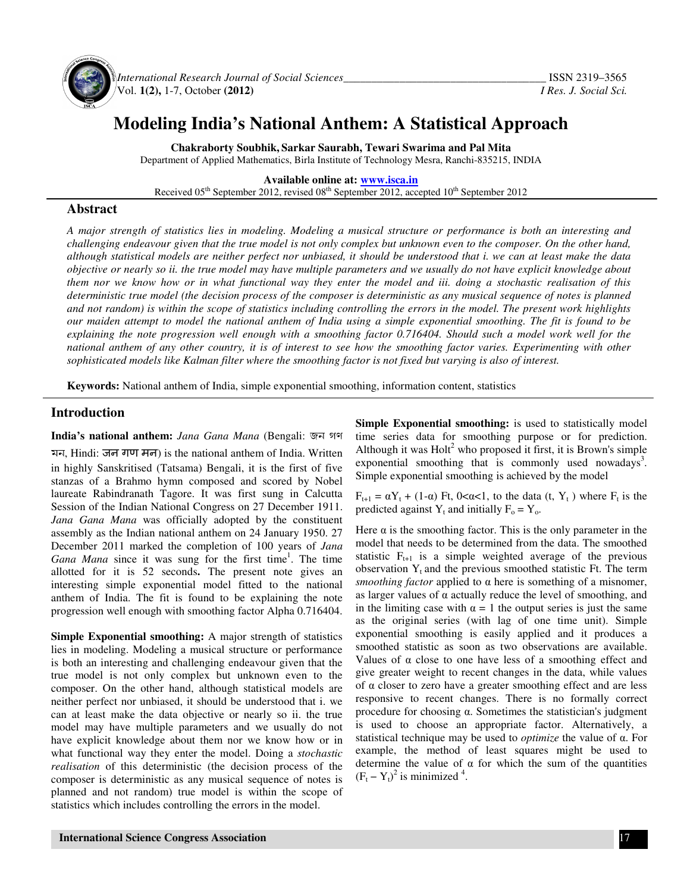

*International Research Journal of Social Sciences\_\_\_\_\_\_\_\_\_\_\_\_\_\_\_\_\_\_\_\_\_\_\_\_\_\_\_\_\_\_\_\_\_\_\_\_* ISSN 2319–3565 Vol. **1(2),** 1-7, October **(2012)** *I Res. J. Social Sci.* 

# **Modeling India's National Anthem: A Statistical Approach**

**Chakraborty Soubhik, Sarkar Saurabh, Tewari Swarima and Pal Mita**  Department of Applied Mathematics, Birla Institute of Technology Mesra, Ranchi-835215, INDIA

**Available online at: www.isca.in**

Received  $05<sup>th</sup>$  September 2012, revised  $08<sup>th</sup>$  September 2012, accepted  $10<sup>th</sup>$  September 2012

## **Abstract**

*A major strength of statistics lies in modeling. Modeling a musical structure or performance is both an interesting and challenging endeavour given that the true model is not only complex but unknown even to the composer. On the other hand, although statistical models are neither perfect nor unbiased, it should be understood that i. we can at least make the data objective or nearly so ii. the true model may have multiple parameters and we usually do not have explicit knowledge about them nor we know how or in what functional way they enter the model and iii. doing a stochastic realisation of this deterministic true model (the decision process of the composer is deterministic as any musical sequence of notes is planned and not random) is within the scope of statistics including controlling the errors in the model. The present work highlights our maiden attempt to model the national anthem of India using a simple exponential smoothing. The fit is found to be*  explaining the note progression well enough with a smoothing factor 0.716404. Should such a model work well for the *national anthem of any other country, it is of interest to see how the smoothing factor varies. Experimenting with other*  sophisticated models like Kalman filter where the smoothing factor is not fixed but varying is also of interest.

**Keywords:** National anthem of India, simple exponential smoothing, information content, statistics

# **Introduction**

**India's national anthem:** *Jana Gana Mana* (Bengali: জন গণ মন, Hindi: जन गण मन) is the national anthem of India. Written in highly Sanskritised (Tatsama) Bengali, it is the first of five stanzas of a Brahmo hymn composed and scored by Nobel laureate Rabindranath Tagore. It was first sung in Calcutta Session of the Indian National Congress on 27 December 1911. *Jana Gana Mana* was officially adopted by the constituent assembly as the Indian national anthem on 24 January 1950. 27 December 2011 marked the completion of 100 years of *Jana*  Gana Mana since it was sung for the first time<sup>1</sup>. The time allotted for it is 52 seconds**.** The present note gives an interesting simple exponential model fitted to the national anthem of India. The fit is found to be explaining the note progression well enough with smoothing factor Alpha 0.716404.

**Simple Exponential smoothing:** A major strength of statistics lies in modeling. Modeling a musical structure or performance is both an interesting and challenging endeavour given that the true model is not only complex but unknown even to the composer. On the other hand, although statistical models are neither perfect nor unbiased, it should be understood that i. we can at least make the data objective or nearly so ii. the true model may have multiple parameters and we usually do not have explicit knowledge about them nor we know how or in what functional way they enter the model. Doing a *stochastic realisation* of this deterministic (the decision process of the composer is deterministic as any musical sequence of notes is planned and not random) true model is within the scope of statistics which includes controlling the errors in the model.

**Simple Exponential smoothing:** is used to statistically model time series data for smoothing purpose or for prediction. Although it was  $Holt<sup>2</sup>$  who proposed it first, it is Brown's simple exponential smoothing that is commonly used nowadays<sup>3</sup>. Simple exponential smoothing is achieved by the model

 $F_{t+1} = \alpha Y_t + (1-\alpha) F_t, 0 < \alpha < 1$ , to the data  $(t, Y_t)$  where  $F_t$  is the predicted against  $Y_t$  and initially  $F_o = Y_o$ .

Here  $\alpha$  is the smoothing factor. This is the only parameter in the model that needs to be determined from the data. The smoothed statistic  $F_{t+1}$  is a simple weighted average of the previous observation  $Y_t$  and the previous smoothed statistic Ft. The term *smoothing factor* applied to α here is something of a misnomer, as larger values of  $\alpha$  actually reduce the level of smoothing, and in the limiting case with  $\alpha = 1$  the output series is just the same as the original series (with lag of one time unit). Simple exponential smoothing is easily applied and it produces a smoothed statistic as soon as two observations are available. Values of α close to one have less of a smoothing effect and give greater weight to recent changes in the data, while values of α closer to zero have a greater smoothing effect and are less responsive to recent changes. There is no formally correct procedure for choosing α. Sometimes the statistician's judgment is used to choose an appropriate factor. Alternatively, a statistical technique may be used to *optimize* the value of α. For example, the method of least squares might be used to determine the value of  $\alpha$  for which the sum of the quantities  $(F_t - Y_t)^2$  is minimized <sup>4</sup>.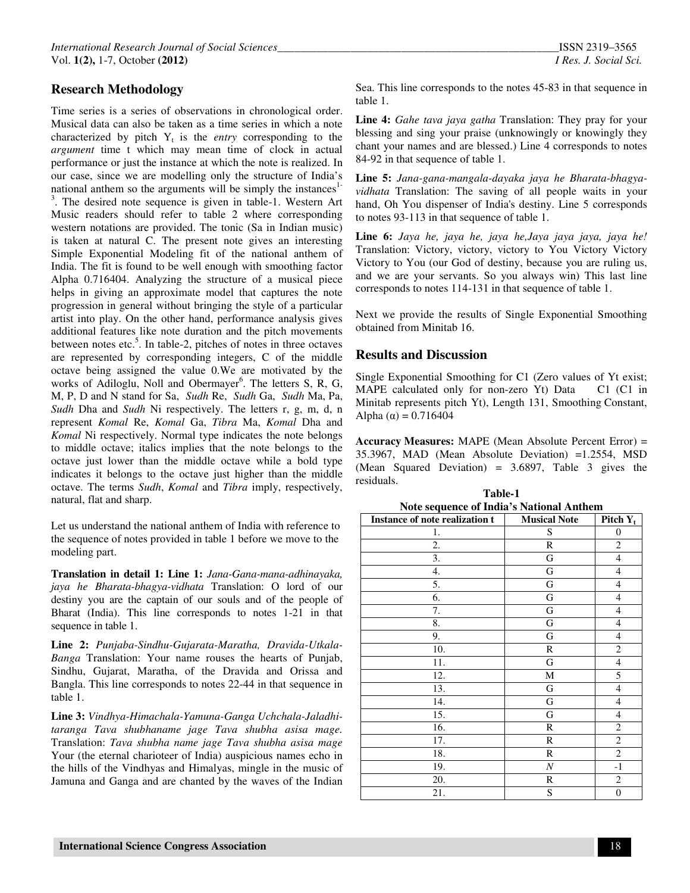## **Research Methodology**

Time series is a series of observations in chronological order. Musical data can also be taken as a time series in which a note characterized by pitch  $Y_t$  is the *entry* corresponding to the *argument* time t which may mean time of clock in actual performance or just the instance at which the note is realized. In our case, since we are modelling only the structure of India's national anthem so the arguments will be simply the instances $<sup>1</sup>$ </sup> <sup>3</sup>. The desired note sequence is given in table-1. Western Art Music readers should refer to table 2 where corresponding western notations are provided. The tonic (Sa in Indian music) is taken at natural C. The present note gives an interesting Simple Exponential Modeling fit of the national anthem of India. The fit is found to be well enough with smoothing factor Alpha 0.716404. Analyzing the structure of a musical piece helps in giving an approximate model that captures the note progression in general without bringing the style of a particular artist into play. On the other hand, performance analysis gives additional features like note duration and the pitch movements between notes etc.<sup>5</sup>. In table-2, pitches of notes in three octaves are represented by corresponding integers, C of the middle octave being assigned the value 0.We are motivated by the works of Adiloglu, Noll and Obermayer<sup>6</sup>. The letters S, R, G, M, P, D and N stand for Sa, *Sudh* Re, *Sudh* Ga, *Sudh* Ma, Pa, *Sudh* Dha and *Sudh* Ni respectively. The letters r, g, m, d, n represent *Komal* Re, *Komal* Ga, *Tibra* Ma, *Komal* Dha and *Komal* Ni respectively. Normal type indicates the note belongs to middle octave; italics implies that the note belongs to the octave just lower than the middle octave while a bold type indicates it belongs to the octave just higher than the middle octave. The terms *Sudh*, *Komal* and *Tibra* imply, respectively, natural, flat and sharp.

Let us understand the national anthem of India with reference to the sequence of notes provided in table 1 before we move to the modeling part.

**Translation in detail 1: Line 1:** *Jana-Gana-mana-adhinayaka, jaya he Bharata-bhagya-vidhata* Translation: O lord of our destiny you are the captain of our souls and of the people of Bharat (India). This line corresponds to notes 1-21 in that sequence in table 1.

**Line 2:** *Punjaba-Sindhu-Gujarata-Maratha, Dravida-Utkala-Banga* Translation: Your name rouses the hearts of Punjab, Sindhu, Gujarat, Maratha, of the Dravida and Orissa and Bangla. This line corresponds to notes 22-44 in that sequence in table 1.

**Line 3:** *Vindhya-Himachala-Yamuna-Ganga Uchchala-Jaladhitaranga Tava shubhaname jage Tava shubha asisa mage.*  Translation: *Tava shubha name jage Tava shubha asisa mage* Your (the eternal charioteer of India) auspicious names echo in the hills of the Vindhyas and Himalyas, mingle in the music of Jamuna and Ganga and are chanted by the waves of the Indian

Sea. This line corresponds to the notes 45-83 in that sequence in table 1.

**Line 4:** *Gahe tava jaya gatha* Translation: They pray for your blessing and sing your praise (unknowingly or knowingly they chant your names and are blessed.) Line 4 corresponds to notes 84-92 in that sequence of table 1.

**Line 5:** *Jana-gana-mangala-dayaka jaya he Bharata-bhagyavidhata* Translation: The saving of all people waits in your hand, Oh You dispenser of India's destiny. Line 5 corresponds to notes 93-113 in that sequence of table 1.

**Line 6:** *Jaya he, jaya he, jaya he,Jaya jaya jaya, jaya he!* Translation: Victory, victory, victory to You Victory Victory Victory to You (our God of destiny, because you are ruling us, and we are your servants. So you always win) This last line corresponds to notes 114-131 in that sequence of table 1.

Next we provide the results of Single Exponential Smoothing obtained from Minitab 16.

#### **Results and Discussion**

Single Exponential Smoothing for C1 (Zero values of Yt exist; MAPE calculated only for non-zero Yt) Data C1 (C1 in Minitab represents pitch Yt), Length 131, Smoothing Constant, Alpha (α) = 0.716404

**Accuracy Measures:** MAPE (Mean Absolute Percent Error) = 35.3967, MAD (Mean Absolute Deviation) =1.2554, MSD (Mean Squared Deviation) =  $3.6897$ , Table 3 gives the residuals.

| <b>Note sequence of India's National Anthem</b> |                     |                |  |  |  |  |  |
|-------------------------------------------------|---------------------|----------------|--|--|--|--|--|
| Instance of note realization t                  | <b>Musical Note</b> | Pitch $Y_t$    |  |  |  |  |  |
| 1.                                              | S                   | 0              |  |  |  |  |  |
| 2.                                              | R                   | $\overline{c}$ |  |  |  |  |  |
| 3.                                              | G                   | $\overline{4}$ |  |  |  |  |  |
| 4.                                              | G                   | 4              |  |  |  |  |  |
| 5.                                              | G                   | 4              |  |  |  |  |  |
| 6.                                              | G                   | 4              |  |  |  |  |  |
| 7.                                              | G                   | 4              |  |  |  |  |  |
| 8.                                              | G                   | $\overline{4}$ |  |  |  |  |  |
| 9.                                              | G                   | 4              |  |  |  |  |  |
| 10.                                             | R                   | $\overline{c}$ |  |  |  |  |  |
| 11.                                             | G                   | $\overline{4}$ |  |  |  |  |  |
| 12.                                             | M                   | 5              |  |  |  |  |  |
| 13.                                             | G                   | 4              |  |  |  |  |  |
| 14.                                             | G                   | 4              |  |  |  |  |  |
| 15.                                             | G                   | 4              |  |  |  |  |  |
| 16.                                             | R                   | 2              |  |  |  |  |  |
| 17.                                             | R                   | $\overline{c}$ |  |  |  |  |  |
| 18.                                             | R                   | $\overline{c}$ |  |  |  |  |  |
| 19.                                             | $\boldsymbol{N}$    | $-1$           |  |  |  |  |  |
| 20.                                             | R                   | 2              |  |  |  |  |  |
| 21.                                             | S                   | 0              |  |  |  |  |  |

**Table-1**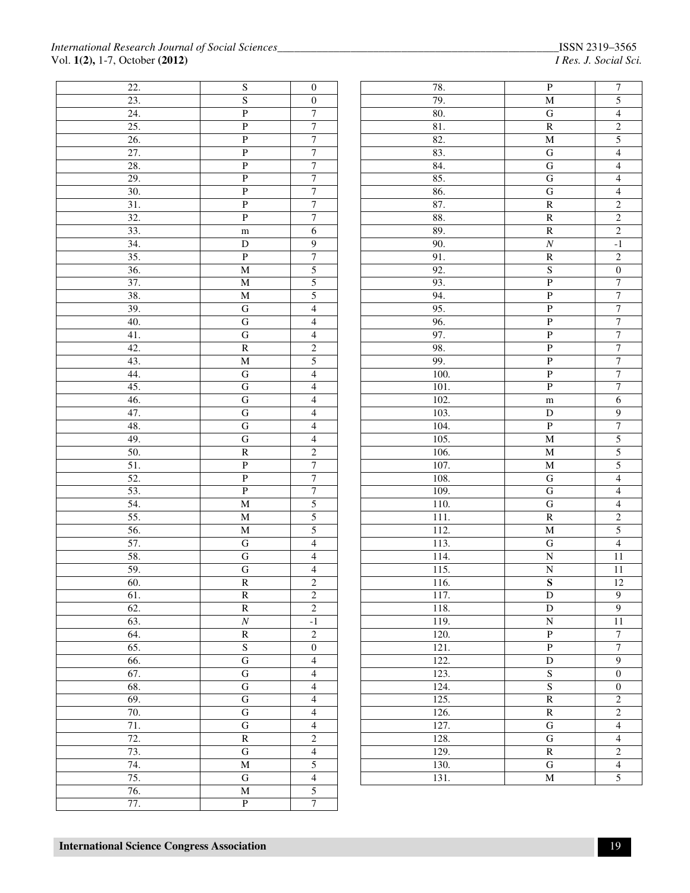#### *International Research Journal of Social Sciences\_\_\_\_\_\_\_\_\_\_\_\_\_\_\_\_\_\_\_\_\_\_\_\_\_\_\_\_\_\_\_\_\_\_\_\_\_\_\_\_\_\_\_\_\_\_\_\_\_\_*ISSN 2319–3565 Vol. **1(2)**, 1-7, October **(2012)**

| 22.               | S                       | $\boldsymbol{0}$         | 78.  | $\overline{P}$          | $\overline{7}$           |
|-------------------|-------------------------|--------------------------|------|-------------------------|--------------------------|
| 23.               | $\overline{S}$          | $\boldsymbol{0}$         | 79.  | $\overline{M}$          | 5                        |
| 24.               | $\overline{\mathbf{P}}$ | $\boldsymbol{7}$         | 80.  | $\overline{G}$          | $\overline{\mathcal{L}}$ |
| 25.               | $\overline{P}$          | $\overline{7}$           | 81.  | $\overline{\text{R}}$   | $\overline{2}$           |
| 26.               | $\overline{P}$          | $\overline{7}$           | 82.  | $\overline{M}$          | 5                        |
| 27.               | $\overline{P}$          | $\overline{7}$           | 83.  | $\overline{G}$          | $\overline{4}$           |
| 28.               | $\overline{P}$          | $\boldsymbol{7}$         | 84.  | $\overline{G}$          | $\overline{\mathcal{A}}$ |
| 29.               | $\overline{P}$          | $\tau$                   | 85.  | ${\bf G}$               | $\overline{\mathcal{A}}$ |
| 30.               | $\overline{P}$          | $\boldsymbol{7}$         | 86.  | $\overline{G}$          | 4                        |
| 31.               | $\overline{P}$          | $\boldsymbol{7}$         | 87.  | $\overline{R}$          | $\overline{2}$           |
| 32.               | $\overline{P}$          | $\boldsymbol{7}$         | 88.  | $\overline{R}$          | $\overline{2}$           |
| 33.               | ${\rm m}$               | 6                        | 89.  | $\overline{R}$          | $\overline{2}$           |
| 34.               | $\overline{D}$          | 9                        | 90.  | $\overline{N}$          | $^{\rm -1}$              |
| 35.               | $\overline{P}$          | $\overline{7}$           | 91.  | $\overline{R}$          | $\overline{2}$           |
| 36.               | $\overline{M}$          | 5                        | 92.  | $\overline{S}$          | $\overline{0}$           |
| 37.               | $\overline{M}$          | $\overline{5}$           | 93.  | $\overline{\mathrm{P}}$ | $\overline{7}$           |
| 38.               | $\mathbf M$             | 5                        | 94.  | $\overline{P}$          | $\overline{7}$           |
| 39.               | $\overline{G}$          | $\overline{\mathcal{L}}$ | 95.  | $\overline{P}$          | $\overline{7}$           |
| 40.               | ${\bf G}$               | $\overline{4}$           | 96.  | $\overline{\mathbf{P}}$ | $\overline{7}$           |
| 41.               | ${\bf G}$               | $\overline{4}$           | 97.  | $\overline{P}$          | $\overline{7}$           |
| 42.               | $\overline{\text{R}}$   | $\overline{c}$           | 98.  | $\overline{P}$          | $\overline{7}$           |
| 43.               | $\overline{M}$          | 5                        | 99.  | $\overline{P}$          | $\overline{7}$           |
| 44.               | ${\bf G}$               | $\overline{\mathcal{A}}$ | 100. | $\, {\bf P}$            | $\boldsymbol{7}$         |
| 45.               | ${\bf G}$               | $\overline{4}$           | 101. | $\overline{P}$          | $\boldsymbol{7}$         |
| 46.               | ${\bf G}$               | $\overline{4}$           | 102. | ${\rm m}$               | $\sqrt{6}$               |
| 47.               | ${\bf G}$               | $\overline{4}$           | 103. | $\overline{D}$          | $\overline{9}$           |
| 48.               | ${\bf G}$               | $\overline{4}$           | 104. | $\overline{P}$          | $\overline{7}$           |
| 49.               | $\overline{G}$          | $\overline{4}$           | 105. | $\overline{M}$          | 5                        |
| 50.               | $\overline{\text{R}}$   | $\overline{2}$           | 106. | $\overline{M}$          | 5                        |
| 51.               | $\overline{P}$          | $\overline{7}$           | 107. | $\overline{M}$          | 5                        |
| 52.               | $\overline{P}$          | $\overline{7}$           | 108. | ${\bf G}$               | $\overline{4}$           |
| 53.               | $\overline{P}$          | $\tau$                   | 109. | $\overline{G}$          | $\overline{\mathcal{L}}$ |
| 54.               | $\overline{M}$          | 5                        | 110. | $\overline{G}$          | $\overline{\mathbf{4}}$  |
| 55.               | $\overline{M}$          | 5                        | 111. | $\overline{R}$          | $\overline{2}$           |
| 56.               | $\overline{M}$          | 5                        | 112. | $\overline{M}$          | 5                        |
| 57.               | ${\bf G}$               | $\overline{4}$           | 113. | $\overline{G}$          | 4                        |
| 58.               | ${\bf G}$               | $\overline{4}$           | 114. | $\overline{N}$          | $11\,$                   |
| 59.               | ${\bf G}$               | $\overline{4}$           | 115. | $\mathbf N$             | 11                       |
| 60.               | $\overline{\text{R}}$   | $\sqrt{2}$               | 116. | $\overline{\mathbf{s}}$ | 12                       |
| 61.               | $\overline{R}$          | $\boldsymbol{2}$         | 117. | $\overline{D}$          | $\overline{9}$           |
| $\overline{62}$ . | $\overline{R}$          | $\overline{2}$           | 118. | $\overline{D}$          | $\overline{9}$           |
| $\overline{63}$ . | $\overline{N}$          | $-1$                     | 119. | $\overline{\text{N}}$   | 11                       |
| 64.               | $\overline{\mathbf{R}}$ | $\overline{2}$           | 120. | $\overline{P}$          | $\overline{7}$           |
| $\overline{65}$ . | $\overline{S}$          | $\overline{0}$           | 121. | $\overline{P}$          | $\overline{7}$           |
| 66.               | ${\bf G}$               | $\overline{4}$           | 122. | $\overline{D}$          | $\overline{9}$           |
| 67.               | $\overline{G}$          | $\overline{4}$           | 123. | $\overline{S}$          | $\overline{0}$           |
| 68.               | ${\bf G}$               | $\overline{4}$           | 124. | $\sqrt{S}$              | $\overline{0}$           |
| 69.               | $\overline{G}$          | $\overline{4}$           | 125. | ${\bf R}$               | $\overline{c}$           |
| 70.               | ${\bf G}$               | $\overline{4}$           | 126. | $\overline{R}$          | $\overline{2}$           |
| 71.               | $\overline{G}$          | $\overline{4}$           | 127. | $\overline{G}$          | 4                        |
| 72.               | $\overline{R}$          | $\overline{2}$           | 128. | ${\bf G}$               | $\overline{4}$           |
| 73.               | ${\bf G}$               | $\overline{4}$           | 129. | $\overline{R}$          | $\sqrt{2}$               |
| 74.               | $\overline{\text{M}}$   | $\overline{5}$           | 130. | ${\bf G}$               | $\overline{4}$           |
| 75.               | $\overline{G}$          | $\overline{4}$           | 131. | $\overline{\text{M}}$   | $\overline{5}$           |
| 76.               | $\overline{M}$          | $\overline{5}$           |      |                         |                          |
| 77.               | $\overline{P}$          | $\overline{7}$           |      |                         |                          |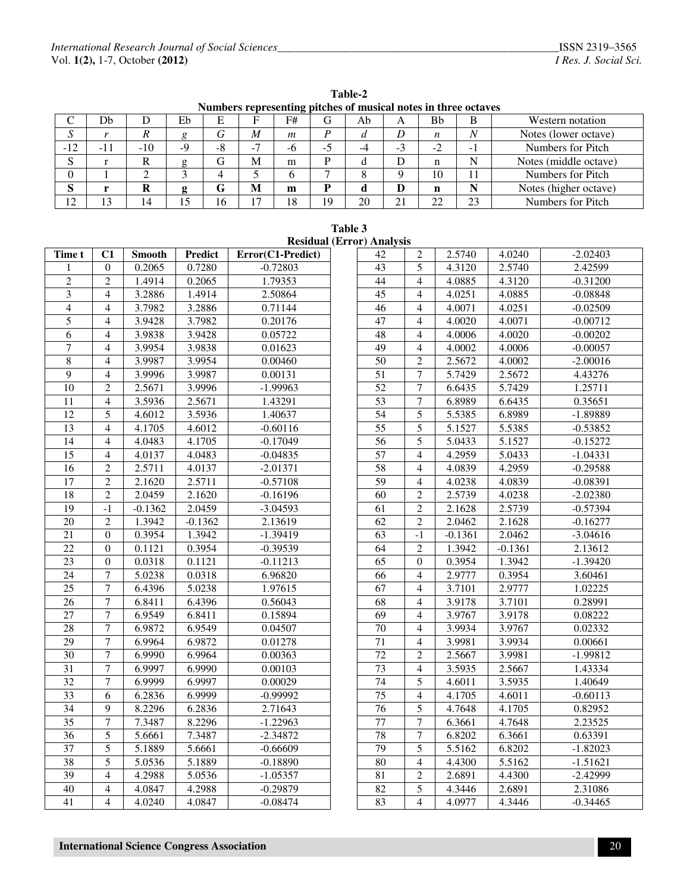| Table-2                                                        |  |
|----------------------------------------------------------------|--|
| Numbers representing pitches of musical notes in three octaves |  |

|             | Trumbers representing pitches of musical hotes in three octaves |     |      |    |    |                |     |    |      |             |    |                       |
|-------------|-----------------------------------------------------------------|-----|------|----|----|----------------|-----|----|------|-------------|----|-----------------------|
| ◡           | Db                                                              |     | Eb   | E  |    | F#             | G   | Ab | A    | Bb          | В  | Western notation      |
| ى           |                                                                 |     |      |    | M  | $\mathfrak{m}$ |     | u  | D    | n           |    | Notes (lower octave)  |
| $-12$       | $-1$                                                            | -10 | $-9$ | -8 | ۰. | -6             | - 1 |    | $-3$ | -2          |    | Numbers for Pitch     |
| S           |                                                                 |     | g    |    | M  | m              | D   |    | D    | n           |    | Notes (middle octave) |
|             |                                                                 |     |      |    |    |                |     |    |      | 10          |    | Numbers for Pitch     |
| $\sim$<br>D |                                                                 | R   |      | G  | М  | m              |     |    | D    | $\mathbf n$ |    | Notes (higher octave) |
| 12          | 13                                                              | ι4  |      | 16 | ┑  | 18             | 19  | 20 | 21   | 22          | 23 | Numbers for Pitch     |

|                                  | Table 3 |  |
|----------------------------------|---------|--|
| <b>Residual (Error) Analysis</b> |         |  |

| 43<br>0.7280<br>$-0.72803$<br>5<br>4.3120<br>2.5740<br>2.42599<br>$\theta$<br>0.2065<br>1<br>$\overline{2}$<br>44<br>$\overline{c}$<br>1.4914<br>0.2065<br>1.79353<br>4.0885<br>$-0.31200$<br>$\overline{4}$<br>4.3120<br>$\overline{3}$<br>$\overline{45}$<br>$\overline{4}$<br>3.2886<br>1.4914<br>2.50864<br>$\overline{4}$<br>4.0251<br>4.0885<br>$-0.08848$<br>3.7982<br>$-0.02509$<br>$\overline{4}$<br>$\overline{4}$<br>3.2886<br>0.71144<br>$46\,$<br>$\overline{4}$<br>4.0071<br>4.0251<br>5<br>3.9428<br>3.7982<br>47<br>4.0020<br>4.0071<br>$-0.00712$<br>4<br>0.20176<br>$\overline{4}$<br>6<br>$\overline{4}$<br>3.9838<br>3.9428<br>48<br>0.05722<br>$\overline{4}$<br>4.0006<br>4.0020<br>$-0.00202$<br>$\overline{7}$<br>3.9954<br>3.9838<br>$\overline{49}$<br>$\overline{4}$<br>0.01623<br>$\overline{4}$<br>4.0002<br>4.0006<br>$-0.00057$<br>$\,8\,$<br>$\overline{2}$<br>$\overline{4}$<br>3.9987<br>3.9954<br>50<br>2.5672<br>4.0002<br>$-2.00016$<br>0.00460<br>9<br>3.9996<br>3.9987<br>51<br>5.7429<br>2.5672<br>$\overline{4}$<br>0.00131<br>$\overline{7}$<br>4.43276<br>$\overline{10}$<br>$\overline{52}$<br>1.25711<br>$\overline{2}$<br>2.5671<br>3.9996<br>$-1.99963$<br>$\tau$<br>6.6435<br>5.7429<br>$\overline{53}$<br>11<br>$\overline{4}$<br>3.5936<br>2.5671<br>$\tau$<br>6.8989<br>6.6435<br>0.35651<br>1.43291<br>12<br>54<br>$\overline{5}$<br>5.5385<br>$-1.89889$<br>5<br>4.6012<br>3.5936<br>1.40637<br>6.8989<br>4.1705<br>4.6012<br>55<br>5<br>5.1527<br>5.5385<br>$-0.53852$<br>13<br>$\overline{4}$<br>$-0.60116$<br>14<br>$\overline{4}$<br>4.0483<br>4.1705<br>56<br>5<br>5.0433<br>5.1527<br>$-0.15272$<br>$-0.17049$<br>$\overline{15}$<br>4.0483<br>$-0.04835$<br>$\overline{57}$<br>4.2959<br>$-1.04331$<br>$\overline{4}$<br>4.0137<br>$\overline{4}$<br>5.0433<br>$\overline{16}$<br>$\overline{2}$<br>2.5711<br>4.0137<br>$\overline{58}$<br>4.0839<br>4.2959<br>$-0.29588$<br>$-2.01371$<br>$\overline{4}$<br>17<br>$\overline{c}$<br>2.1620<br>2.5711<br>$-0.57108$<br>59<br>$\overline{4}$<br>4.0238<br>4.0839<br>$-0.08391$<br>2.5739<br>$\overline{18}$<br>$\overline{c}$<br>2.0459<br>2.1620<br>4.0238<br>$-2.02380$<br>$-0.16196$<br>60<br>$\overline{2}$<br>$\overline{19}$<br>$\overline{2}$<br>$-1$<br>2.0459 | Time t | C1 | <b>Smooth</b> | Predict | Error(C1-Predict) | <b>Residual</b> (Eliof) Individual<br>42 | 2 | 2.5740 | 4.0240 | $-2.02403$ |
|-----------------------------------------------------------------------------------------------------------------------------------------------------------------------------------------------------------------------------------------------------------------------------------------------------------------------------------------------------------------------------------------------------------------------------------------------------------------------------------------------------------------------------------------------------------------------------------------------------------------------------------------------------------------------------------------------------------------------------------------------------------------------------------------------------------------------------------------------------------------------------------------------------------------------------------------------------------------------------------------------------------------------------------------------------------------------------------------------------------------------------------------------------------------------------------------------------------------------------------------------------------------------------------------------------------------------------------------------------------------------------------------------------------------------------------------------------------------------------------------------------------------------------------------------------------------------------------------------------------------------------------------------------------------------------------------------------------------------------------------------------------------------------------------------------------------------------------------------------------------------------------------------------------------------------------------------------------------------------------------------------------------------------------------------------------------------------------------------------------------------------------------------------------------------------------------------------------------------------------------------------------------------------------|--------|----|---------------|---------|-------------------|------------------------------------------|---|--------|--------|------------|
|                                                                                                                                                                                                                                                                                                                                                                                                                                                                                                                                                                                                                                                                                                                                                                                                                                                                                                                                                                                                                                                                                                                                                                                                                                                                                                                                                                                                                                                                                                                                                                                                                                                                                                                                                                                                                                                                                                                                                                                                                                                                                                                                                                                                                                                                                   |        |    |               |         |                   |                                          |   |        |        |            |
|                                                                                                                                                                                                                                                                                                                                                                                                                                                                                                                                                                                                                                                                                                                                                                                                                                                                                                                                                                                                                                                                                                                                                                                                                                                                                                                                                                                                                                                                                                                                                                                                                                                                                                                                                                                                                                                                                                                                                                                                                                                                                                                                                                                                                                                                                   |        |    |               |         |                   |                                          |   |        |        |            |
|                                                                                                                                                                                                                                                                                                                                                                                                                                                                                                                                                                                                                                                                                                                                                                                                                                                                                                                                                                                                                                                                                                                                                                                                                                                                                                                                                                                                                                                                                                                                                                                                                                                                                                                                                                                                                                                                                                                                                                                                                                                                                                                                                                                                                                                                                   |        |    |               |         |                   |                                          |   |        |        |            |
|                                                                                                                                                                                                                                                                                                                                                                                                                                                                                                                                                                                                                                                                                                                                                                                                                                                                                                                                                                                                                                                                                                                                                                                                                                                                                                                                                                                                                                                                                                                                                                                                                                                                                                                                                                                                                                                                                                                                                                                                                                                                                                                                                                                                                                                                                   |        |    |               |         |                   |                                          |   |        |        |            |
|                                                                                                                                                                                                                                                                                                                                                                                                                                                                                                                                                                                                                                                                                                                                                                                                                                                                                                                                                                                                                                                                                                                                                                                                                                                                                                                                                                                                                                                                                                                                                                                                                                                                                                                                                                                                                                                                                                                                                                                                                                                                                                                                                                                                                                                                                   |        |    |               |         |                   |                                          |   |        |        |            |
|                                                                                                                                                                                                                                                                                                                                                                                                                                                                                                                                                                                                                                                                                                                                                                                                                                                                                                                                                                                                                                                                                                                                                                                                                                                                                                                                                                                                                                                                                                                                                                                                                                                                                                                                                                                                                                                                                                                                                                                                                                                                                                                                                                                                                                                                                   |        |    |               |         |                   |                                          |   |        |        |            |
|                                                                                                                                                                                                                                                                                                                                                                                                                                                                                                                                                                                                                                                                                                                                                                                                                                                                                                                                                                                                                                                                                                                                                                                                                                                                                                                                                                                                                                                                                                                                                                                                                                                                                                                                                                                                                                                                                                                                                                                                                                                                                                                                                                                                                                                                                   |        |    |               |         |                   |                                          |   |        |        |            |
|                                                                                                                                                                                                                                                                                                                                                                                                                                                                                                                                                                                                                                                                                                                                                                                                                                                                                                                                                                                                                                                                                                                                                                                                                                                                                                                                                                                                                                                                                                                                                                                                                                                                                                                                                                                                                                                                                                                                                                                                                                                                                                                                                                                                                                                                                   |        |    |               |         |                   |                                          |   |        |        |            |
|                                                                                                                                                                                                                                                                                                                                                                                                                                                                                                                                                                                                                                                                                                                                                                                                                                                                                                                                                                                                                                                                                                                                                                                                                                                                                                                                                                                                                                                                                                                                                                                                                                                                                                                                                                                                                                                                                                                                                                                                                                                                                                                                                                                                                                                                                   |        |    |               |         |                   |                                          |   |        |        |            |
|                                                                                                                                                                                                                                                                                                                                                                                                                                                                                                                                                                                                                                                                                                                                                                                                                                                                                                                                                                                                                                                                                                                                                                                                                                                                                                                                                                                                                                                                                                                                                                                                                                                                                                                                                                                                                                                                                                                                                                                                                                                                                                                                                                                                                                                                                   |        |    |               |         |                   |                                          |   |        |        |            |
|                                                                                                                                                                                                                                                                                                                                                                                                                                                                                                                                                                                                                                                                                                                                                                                                                                                                                                                                                                                                                                                                                                                                                                                                                                                                                                                                                                                                                                                                                                                                                                                                                                                                                                                                                                                                                                                                                                                                                                                                                                                                                                                                                                                                                                                                                   |        |    |               |         |                   |                                          |   |        |        |            |
|                                                                                                                                                                                                                                                                                                                                                                                                                                                                                                                                                                                                                                                                                                                                                                                                                                                                                                                                                                                                                                                                                                                                                                                                                                                                                                                                                                                                                                                                                                                                                                                                                                                                                                                                                                                                                                                                                                                                                                                                                                                                                                                                                                                                                                                                                   |        |    |               |         |                   |                                          |   |        |        |            |
|                                                                                                                                                                                                                                                                                                                                                                                                                                                                                                                                                                                                                                                                                                                                                                                                                                                                                                                                                                                                                                                                                                                                                                                                                                                                                                                                                                                                                                                                                                                                                                                                                                                                                                                                                                                                                                                                                                                                                                                                                                                                                                                                                                                                                                                                                   |        |    |               |         |                   |                                          |   |        |        |            |
|                                                                                                                                                                                                                                                                                                                                                                                                                                                                                                                                                                                                                                                                                                                                                                                                                                                                                                                                                                                                                                                                                                                                                                                                                                                                                                                                                                                                                                                                                                                                                                                                                                                                                                                                                                                                                                                                                                                                                                                                                                                                                                                                                                                                                                                                                   |        |    |               |         |                   |                                          |   |        |        |            |
|                                                                                                                                                                                                                                                                                                                                                                                                                                                                                                                                                                                                                                                                                                                                                                                                                                                                                                                                                                                                                                                                                                                                                                                                                                                                                                                                                                                                                                                                                                                                                                                                                                                                                                                                                                                                                                                                                                                                                                                                                                                                                                                                                                                                                                                                                   |        |    |               |         |                   |                                          |   |        |        |            |
|                                                                                                                                                                                                                                                                                                                                                                                                                                                                                                                                                                                                                                                                                                                                                                                                                                                                                                                                                                                                                                                                                                                                                                                                                                                                                                                                                                                                                                                                                                                                                                                                                                                                                                                                                                                                                                                                                                                                                                                                                                                                                                                                                                                                                                                                                   |        |    |               |         |                   |                                          |   |        |        |            |
|                                                                                                                                                                                                                                                                                                                                                                                                                                                                                                                                                                                                                                                                                                                                                                                                                                                                                                                                                                                                                                                                                                                                                                                                                                                                                                                                                                                                                                                                                                                                                                                                                                                                                                                                                                                                                                                                                                                                                                                                                                                                                                                                                                                                                                                                                   |        |    |               |         |                   |                                          |   |        |        |            |
|                                                                                                                                                                                                                                                                                                                                                                                                                                                                                                                                                                                                                                                                                                                                                                                                                                                                                                                                                                                                                                                                                                                                                                                                                                                                                                                                                                                                                                                                                                                                                                                                                                                                                                                                                                                                                                                                                                                                                                                                                                                                                                                                                                                                                                                                                   |        |    |               |         |                   |                                          |   |        |        |            |
|                                                                                                                                                                                                                                                                                                                                                                                                                                                                                                                                                                                                                                                                                                                                                                                                                                                                                                                                                                                                                                                                                                                                                                                                                                                                                                                                                                                                                                                                                                                                                                                                                                                                                                                                                                                                                                                                                                                                                                                                                                                                                                                                                                                                                                                                                   |        |    |               |         |                   |                                          |   |        |        |            |
|                                                                                                                                                                                                                                                                                                                                                                                                                                                                                                                                                                                                                                                                                                                                                                                                                                                                                                                                                                                                                                                                                                                                                                                                                                                                                                                                                                                                                                                                                                                                                                                                                                                                                                                                                                                                                                                                                                                                                                                                                                                                                                                                                                                                                                                                                   |        |    | $-0.1362$     |         | $-3.04593$        | 61                                       |   | 2.1628 | 2.5739 | $-0.57394$ |
| $\overline{20}$<br>$\overline{c}$<br>1.3942<br>$-0.1362$<br>2.13619<br>$\overline{62}$<br>$\overline{2}$<br>2.0462<br>2.1628<br>$-0.16277$                                                                                                                                                                                                                                                                                                                                                                                                                                                                                                                                                                                                                                                                                                                                                                                                                                                                                                                                                                                                                                                                                                                                                                                                                                                                                                                                                                                                                                                                                                                                                                                                                                                                                                                                                                                                                                                                                                                                                                                                                                                                                                                                        |        |    |               |         |                   |                                          |   |        |        |            |
| $\overline{21}$<br>0.3954<br>$\boldsymbol{0}$<br>1.3942<br>$-1.39419$<br>63<br>$-0.1361$<br>2.0462<br>$-3.04616$<br>$-1$                                                                                                                                                                                                                                                                                                                                                                                                                                                                                                                                                                                                                                                                                                                                                                                                                                                                                                                                                                                                                                                                                                                                                                                                                                                                                                                                                                                                                                                                                                                                                                                                                                                                                                                                                                                                                                                                                                                                                                                                                                                                                                                                                          |        |    |               |         |                   |                                          |   |        |        |            |
| 0.1121<br>0.3954<br>1.3942<br>2.13612<br>22<br>$\Omega$<br>$-0.39539$<br>64<br>$\overline{2}$<br>$-0.1361$                                                                                                                                                                                                                                                                                                                                                                                                                                                                                                                                                                                                                                                                                                                                                                                                                                                                                                                                                                                                                                                                                                                                                                                                                                                                                                                                                                                                                                                                                                                                                                                                                                                                                                                                                                                                                                                                                                                                                                                                                                                                                                                                                                        |        |    |               |         |                   |                                          |   |        |        |            |
| 23<br>65<br>0.3954<br>$\overline{0}$<br>0.0318<br>0.1121<br>$-0.11213$<br>$\mathbf{0}$<br>1.3942<br>$-1.39420$                                                                                                                                                                                                                                                                                                                                                                                                                                                                                                                                                                                                                                                                                                                                                                                                                                                                                                                                                                                                                                                                                                                                                                                                                                                                                                                                                                                                                                                                                                                                                                                                                                                                                                                                                                                                                                                                                                                                                                                                                                                                                                                                                                    |        |    |               |         |                   |                                          |   |        |        |            |
| $\overline{24}$<br>$\tau$<br>5.0238<br>0.0318<br>66<br>2.9777<br>0.3954<br>3.60461<br>6.96820<br>$\overline{4}$                                                                                                                                                                                                                                                                                                                                                                                                                                                                                                                                                                                                                                                                                                                                                                                                                                                                                                                                                                                                                                                                                                                                                                                                                                                                                                                                                                                                                                                                                                                                                                                                                                                                                                                                                                                                                                                                                                                                                                                                                                                                                                                                                                   |        |    |               |         |                   |                                          |   |        |        |            |
| $\overline{25}$<br>$\overline{7}$<br>1.02225<br>6.4396<br>5.0238<br>1.97615<br>67<br>$\overline{4}$<br>3.7101<br>2.9777                                                                                                                                                                                                                                                                                                                                                                                                                                                                                                                                                                                                                                                                                                                                                                                                                                                                                                                                                                                                                                                                                                                                                                                                                                                                                                                                                                                                                                                                                                                                                                                                                                                                                                                                                                                                                                                                                                                                                                                                                                                                                                                                                           |        |    |               |         |                   |                                          |   |        |        |            |
| 6.8411<br>3.7101<br>0.28991<br>26<br>$\tau$<br>6.4396<br>0.56043<br>68<br>3.9178<br>$\overline{4}$                                                                                                                                                                                                                                                                                                                                                                                                                                                                                                                                                                                                                                                                                                                                                                                                                                                                                                                                                                                                                                                                                                                                                                                                                                                                                                                                                                                                                                                                                                                                                                                                                                                                                                                                                                                                                                                                                                                                                                                                                                                                                                                                                                                |        |    |               |         |                   |                                          |   |        |        |            |
| $\overline{7}$<br>27<br>6.9549<br>6.8411<br>69<br>3.9767<br>0.15894<br>$\overline{4}$<br>3.9178<br>0.08222                                                                                                                                                                                                                                                                                                                                                                                                                                                                                                                                                                                                                                                                                                                                                                                                                                                                                                                                                                                                                                                                                                                                                                                                                                                                                                                                                                                                                                                                                                                                                                                                                                                                                                                                                                                                                                                                                                                                                                                                                                                                                                                                                                        |        |    |               |         |                   |                                          |   |        |        |            |
| 70<br>28<br>$\overline{7}$<br>6.9549<br>6.9872<br>0.04507<br>$\overline{4}$<br>3.9934<br>3.9767<br>0.02332                                                                                                                                                                                                                                                                                                                                                                                                                                                                                                                                                                                                                                                                                                                                                                                                                                                                                                                                                                                                                                                                                                                                                                                                                                                                                                                                                                                                                                                                                                                                                                                                                                                                                                                                                                                                                                                                                                                                                                                                                                                                                                                                                                        |        |    |               |         |                   |                                          |   |        |        |            |
| $\overline{29}$<br>$\overline{7}$<br>6.9964<br>$\overline{71}$<br>3.9934<br>6.9872<br>0.01278<br>$\overline{4}$<br>3.9981<br>0.00661                                                                                                                                                                                                                                                                                                                                                                                                                                                                                                                                                                                                                                                                                                                                                                                                                                                                                                                                                                                                                                                                                                                                                                                                                                                                                                                                                                                                                                                                                                                                                                                                                                                                                                                                                                                                                                                                                                                                                                                                                                                                                                                                              |        |    |               |         |                   |                                          |   |        |        |            |
| 30<br>$\overline{7}$<br>6.9990<br>6.9964<br>72<br>$\overline{2}$<br>2.5667<br>3.9981<br>$-1.99812$<br>0.00363                                                                                                                                                                                                                                                                                                                                                                                                                                                                                                                                                                                                                                                                                                                                                                                                                                                                                                                                                                                                                                                                                                                                                                                                                                                                                                                                                                                                                                                                                                                                                                                                                                                                                                                                                                                                                                                                                                                                                                                                                                                                                                                                                                     |        |    |               |         |                   |                                          |   |        |        |            |
| 6.9997<br>31<br>$\tau$<br>6.9990<br>73<br>3.5935<br>2.5667<br>1.43334<br>0.00103<br>$\overline{4}$                                                                                                                                                                                                                                                                                                                                                                                                                                                                                                                                                                                                                                                                                                                                                                                                                                                                                                                                                                                                                                                                                                                                                                                                                                                                                                                                                                                                                                                                                                                                                                                                                                                                                                                                                                                                                                                                                                                                                                                                                                                                                                                                                                                |        |    |               |         |                   |                                          |   |        |        |            |
| 32<br>$\overline{7}$<br>6.9999<br>74<br>6.9997<br>5<br>4.6011<br>1.40649<br>0.00029<br>3.5935                                                                                                                                                                                                                                                                                                                                                                                                                                                                                                                                                                                                                                                                                                                                                                                                                                                                                                                                                                                                                                                                                                                                                                                                                                                                                                                                                                                                                                                                                                                                                                                                                                                                                                                                                                                                                                                                                                                                                                                                                                                                                                                                                                                     |        |    |               |         |                   |                                          |   |        |        |            |
| $\overline{33}$<br>6.2836<br>6.9999<br>$\overline{75}$<br>6<br>$-0.99992$<br>$\overline{4}$<br>4.1705<br>4.6011<br>$-0.60113$                                                                                                                                                                                                                                                                                                                                                                                                                                                                                                                                                                                                                                                                                                                                                                                                                                                                                                                                                                                                                                                                                                                                                                                                                                                                                                                                                                                                                                                                                                                                                                                                                                                                                                                                                                                                                                                                                                                                                                                                                                                                                                                                                     |        |    |               |         |                   |                                          |   |        |        |            |
| 5<br>34<br>9<br>8.2296<br>6.2836<br>2.71643<br>76<br>4.7648<br>$\frac{4.1705}{ }$<br>0.82952                                                                                                                                                                                                                                                                                                                                                                                                                                                                                                                                                                                                                                                                                                                                                                                                                                                                                                                                                                                                                                                                                                                                                                                                                                                                                                                                                                                                                                                                                                                                                                                                                                                                                                                                                                                                                                                                                                                                                                                                                                                                                                                                                                                      |        |    |               |         |                   |                                          |   |        |        |            |
| 35<br>7.3487<br>8.2296<br>2.23525<br>$\tau$<br>$-1.22963$<br>77<br>$\tau$<br>6.3661<br>4.7648                                                                                                                                                                                                                                                                                                                                                                                                                                                                                                                                                                                                                                                                                                                                                                                                                                                                                                                                                                                                                                                                                                                                                                                                                                                                                                                                                                                                                                                                                                                                                                                                                                                                                                                                                                                                                                                                                                                                                                                                                                                                                                                                                                                     |        |    |               |         |                   |                                          |   |        |        |            |
| $\overline{36}$<br>5<br>5.6661<br>7.3487<br>78<br>$\tau$<br>6.8202<br>0.63391<br>$-2.34872$<br>6.3661                                                                                                                                                                                                                                                                                                                                                                                                                                                                                                                                                                                                                                                                                                                                                                                                                                                                                                                                                                                                                                                                                                                                                                                                                                                                                                                                                                                                                                                                                                                                                                                                                                                                                                                                                                                                                                                                                                                                                                                                                                                                                                                                                                             |        |    |               |         |                   |                                          |   |        |        |            |
| 37<br>79<br>$\overline{5}$<br>5.1889<br>5<br>5.5162<br>$-1.82023$<br>5.6661<br>$-0.66609$<br>6.8202                                                                                                                                                                                                                                                                                                                                                                                                                                                                                                                                                                                                                                                                                                                                                                                                                                                                                                                                                                                                                                                                                                                                                                                                                                                                                                                                                                                                                                                                                                                                                                                                                                                                                                                                                                                                                                                                                                                                                                                                                                                                                                                                                                               |        |    |               |         |                   |                                          |   |        |        |            |
| 38<br>$\overline{5}$<br>5.0536<br>5.1889<br>$\overline{80}$<br>$\overline{4}$<br>5.5162<br>$-1.51621$<br>$-0.18890$<br>4.4300                                                                                                                                                                                                                                                                                                                                                                                                                                                                                                                                                                                                                                                                                                                                                                                                                                                                                                                                                                                                                                                                                                                                                                                                                                                                                                                                                                                                                                                                                                                                                                                                                                                                                                                                                                                                                                                                                                                                                                                                                                                                                                                                                     |        |    |               |         |                   |                                          |   |        |        |            |
| $\overline{39}$<br>4.2988<br>$\overline{4}$<br>5.0536<br>$-1.05357$<br>81<br>$\overline{2}$<br>2.6891<br>4.4300<br>$-2.42999$                                                                                                                                                                                                                                                                                                                                                                                                                                                                                                                                                                                                                                                                                                                                                                                                                                                                                                                                                                                                                                                                                                                                                                                                                                                                                                                                                                                                                                                                                                                                                                                                                                                                                                                                                                                                                                                                                                                                                                                                                                                                                                                                                     |        |    |               |         |                   |                                          |   |        |        |            |
| 40<br>$\overline{\mathcal{L}}$<br>4.0847<br>4.2988<br>$-0.29879$<br>$\overline{82}$<br>5<br>4.3446<br>2.6891<br>2.31086                                                                                                                                                                                                                                                                                                                                                                                                                                                                                                                                                                                                                                                                                                                                                                                                                                                                                                                                                                                                                                                                                                                                                                                                                                                                                                                                                                                                                                                                                                                                                                                                                                                                                                                                                                                                                                                                                                                                                                                                                                                                                                                                                           |        |    |               |         |                   |                                          |   |        |        |            |
| 41<br>83<br>$\overline{4}$<br>4.0240<br>4.0847<br>$\overline{4}$<br>4.3446<br>$-0.08474$<br>4.0977<br>$-0.34465$                                                                                                                                                                                                                                                                                                                                                                                                                                                                                                                                                                                                                                                                                                                                                                                                                                                                                                                                                                                                                                                                                                                                                                                                                                                                                                                                                                                                                                                                                                                                                                                                                                                                                                                                                                                                                                                                                                                                                                                                                                                                                                                                                                  |        |    |               |         |                   |                                          |   |        |        |            |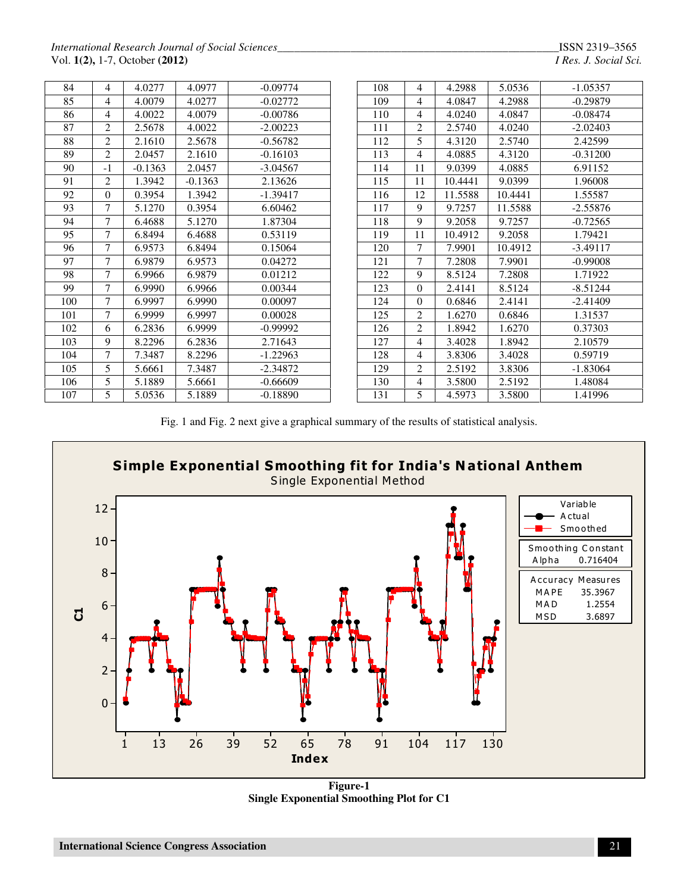*International Research Journal of Social Sciences\_\_\_\_\_\_\_\_\_\_\_\_\_\_\_\_\_\_\_\_\_\_\_\_\_\_\_\_\_\_\_\_\_\_\_\_\_\_\_\_\_\_\_\_\_\_\_\_\_\_*ISSN 2319–3565 Vol. 1(2), 1-7, October (2012)

| 84  | $\overline{4}$ | 4.0277    | 4.0977    | $-0.09774$ |
|-----|----------------|-----------|-----------|------------|
| 85  | 4              | 4.0079    | 4.0277    | $-0.02772$ |
| 86  | 4              | 4.0022    | 4.0079    | $-0.00786$ |
| 87  | $\overline{c}$ | 2.5678    | 4.0022    | $-2.00223$ |
| 88  | $\overline{2}$ | 2.1610    | 2.5678    | $-0.56782$ |
| 89  | $\overline{2}$ | 2.0457    | 2.1610    | $-0.16103$ |
| 90  | $-1$           | $-0.1363$ | 2.0457    | $-3.04567$ |
| 91  | $\overline{c}$ | 1.3942    | $-0.1363$ | 2.13626    |
| 92  | $\mathbf{0}$   | 0.3954    | 1.3942    | $-1.39417$ |
| 93  | 7              | 5.1270    | 0.3954    | 6.60462    |
| 94  | 7              | 6.4688    | 5.1270    | 1.87304    |
| 95  | 7              | 6.8494    | 6.4688    | 0.53119    |
| 96  | 7              | 6.9573    | 6.8494    | 0.15064    |
| 97  | 7              | 6.9879    | 6.9573    | 0.04272    |
| 98  | $\overline{7}$ | 6.9966    | 6.9879    | 0.01212    |
| 99  | $\overline{7}$ | 6.9990    | 6.9966    | 0.00344    |
| 100 | $\overline{7}$ | 6.9997    | 6.9990    | 0.00097    |
| 101 | $\overline{7}$ | 6.9999    | 6.9997    | 0.00028    |
| 102 | 6              | 6.2836    | 6.9999    | $-0.99992$ |
| 103 | 9              | 8.2296    | 6.2836    | 2.71643    |
| 104 | 7              | 7.3487    | 8.2296    | $-1.22963$ |
| 105 | 5              | 5.6661    | 7.3487    | $-2.34872$ |
| 106 | 5              | 5.1889    | 5.6661    | $-0.66609$ |
| 107 | $\overline{5}$ | 5.0536    | 5.1889    | $-0.18890$ |

| 108 | $\overline{4}$           | 4.2988  | 5.0536  | $-1.05357$ |
|-----|--------------------------|---------|---------|------------|
| 109 | $\overline{\mathcal{L}}$ | 4.0847  | 4.2988  | $-0.29879$ |
| 110 | 4                        | 4.0240  | 4.0847  | $-0.08474$ |
| 111 | 2                        | 2.5740  | 4.0240  | $-2.02403$ |
| 112 | 5                        | 4.3120  | 2.5740  | 2.42599    |
| 113 | $\overline{4}$           | 4.0885  | 4.3120  | $-0.31200$ |
| 114 | 11                       | 9.0399  | 4.0885  | 6.91152    |
| 115 | 11                       | 10.4441 | 9.0399  | 1.96008    |
| 116 | 12                       | 11.5588 | 10.4441 | 1.55587    |
| 117 | 9                        | 9.7257  | 11.5588 | $-2.55876$ |
| 118 | 9                        | 9.2058  | 9.7257  | $-0.72565$ |
| 119 | 11                       | 10.4912 | 9.2058  | 1.79421    |
| 120 | 7                        | 7.9901  | 10.4912 | $-3.49117$ |
| 121 | $\overline{7}$           | 7.2808  | 7.9901  | $-0.99008$ |
| 122 | 9                        | 8.5124  | 7.2808  | 1.71922    |
| 123 | $\boldsymbol{0}$         | 2.4141  | 8.5124  | $-8.51244$ |
| 124 | $\boldsymbol{0}$         | 0.6846  | 2.4141  | $-2.41409$ |
| 125 | $\overline{c}$           | 1.6270  | 0.6846  | 1.31537    |
| 126 | $\overline{c}$           | 1.8942  | 1.6270  | 0.37303    |
| 127 | $\overline{4}$           | 3.4028  | 1.8942  | 2.10579    |
| 128 | $\overline{4}$           | 3.8306  | 3.4028  | 0.59719    |
| 129 | 2                        | 2.5192  | 3.8306  | $-1.83064$ |
| 130 | $\overline{4}$           | 3.5800  | 2.5192  | 1.48084    |
| 131 | 5                        | 4.5973  | 3.5800  | 1.41996    |

Fig. 1 and Fig. 2 next give a graphical summary of the results of statistical analysis.



**Figure-1 Single Exponential Smoothing Plot for C1**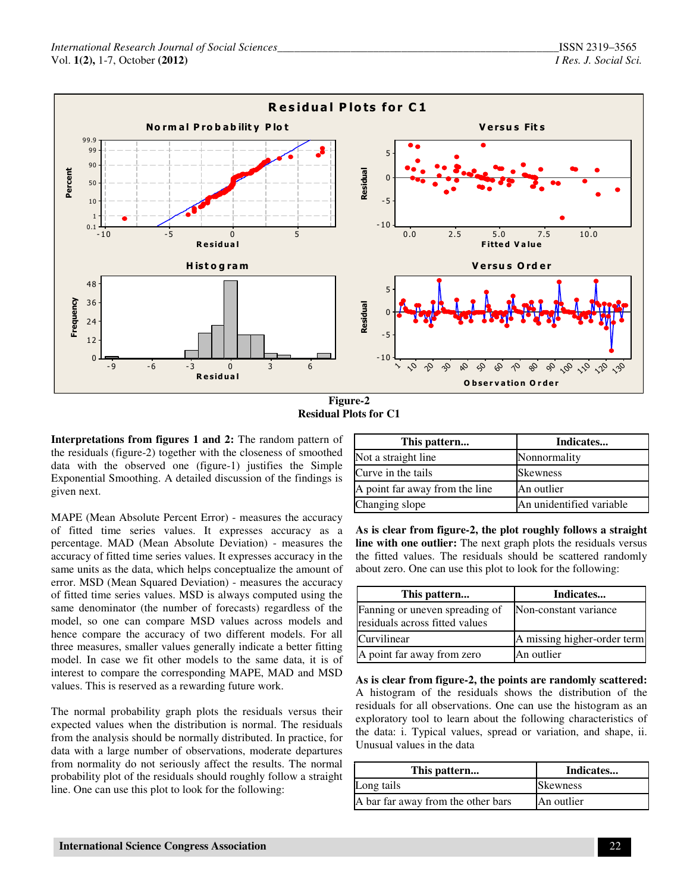

**Residual Plots for C1** 

**Interpretations from figures 1 and 2:** The random pattern of the residuals (figure-2) together with the closeness of smoothed data with the observed one (figure-1) justifies the Simple Exponential Smoothing. A detailed discussion of the findings is given next.

MAPE (Mean Absolute Percent Error) - measures the accuracy of fitted time series values. It expresses accuracy as a percentage. MAD (Mean Absolute Deviation) - measures the accuracy of fitted time series values. It expresses accuracy in the same units as the data, which helps conceptualize the amount of error. MSD (Mean Squared Deviation) - measures the accuracy of fitted time series values. MSD is always computed using the same denominator (the number of forecasts) regardless of the model, so one can compare MSD values across models and hence compare the accuracy of two different models. For all three measures, smaller values generally indicate a better fitting model. In case we fit other models to the same data, it is of interest to compare the corresponding MAPE, MAD and MSD values. This is reserved as a rewarding future work.

The normal probability graph plots the residuals versus their expected values when the distribution is normal. The residuals from the analysis should be normally distributed. In practice, for data with a large number of observations, moderate departures from normality do not seriously affect the results. The normal probability plot of the residuals should roughly follow a straight line. One can use this plot to look for the following:

| This pattern                   | Indicates                |
|--------------------------------|--------------------------|
| Not a straight line            | Nonnormality             |
| Curve in the tails             | <b>Skewness</b>          |
| A point far away from the line | An outlier               |
| Changing slope                 | An unidentified variable |

**As is clear from figure-2, the plot roughly follows a straight line with one outlier:** The next graph plots the residuals versus the fitted values. The residuals should be scattered randomly about zero. One can use this plot to look for the following:

| This pattern                                                     | Indicates                   |
|------------------------------------------------------------------|-----------------------------|
| Fanning or uneven spreading of<br>residuals across fitted values | Non-constant variance       |
| Curvilinear                                                      | A missing higher-order term |
| A point far away from zero                                       | An outlier                  |

**As is clear from figure-2, the points are randomly scattered:**  A histogram of the residuals shows the distribution of the residuals for all observations. One can use the histogram as an exploratory tool to learn about the following characteristics of the data: i. Typical values, spread or variation, and shape, ii. Unusual values in the data

| This pattern                       | Indicates       |
|------------------------------------|-----------------|
| Long tails                         | <b>Skewness</b> |
| A bar far away from the other bars | An outlier      |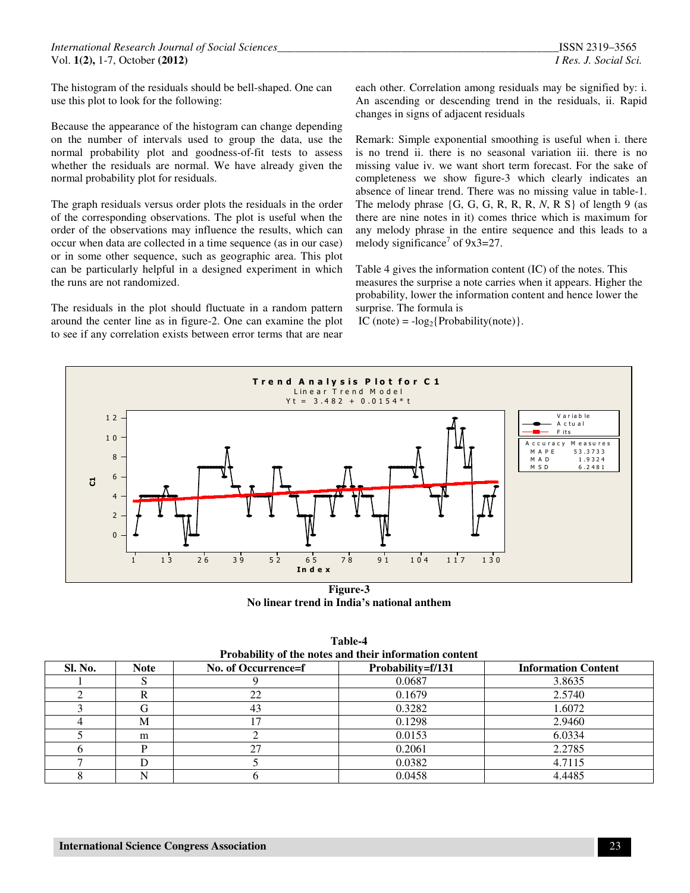The histogram of the residuals should be bell-shaped. One can use this plot to look for the following:

Because the appearance of the histogram can change depending on the number of intervals used to group the data, use the normal probability plot and goodness-of-fit tests to assess whether the residuals are normal. We have already given the normal probability plot for residuals.

The graph residuals versus order plots the residuals in the order of the corresponding observations. The plot is useful when the order of the observations may influence the results, which can occur when data are collected in a time sequence (as in our case) or in some other sequence, such as geographic area. This plot can be particularly helpful in a designed experiment in which the runs are not randomized.

The residuals in the plot should fluctuate in a random pattern around the center line as in figure-2. One can examine the plot to see if any correlation exists between error terms that are near

each other. Correlation among residuals may be signified by: i. An ascending or descending trend in the residuals, ii. Rapid changes in signs of adjacent residuals

Remark: Simple exponential smoothing is useful when i. there is no trend ii. there is no seasonal variation iii. there is no missing value iv. we want short term forecast. For the sake of completeness we show figure-3 which clearly indicates an absence of linear trend. There was no missing value in table-1. The melody phrase {G, G, G, R, R, R, *N*, R S} of length 9 (as there are nine notes in it) comes thrice which is maximum for any melody phrase in the entire sequence and this leads to a melody significance<sup>7</sup> of  $9x3=27$ .

Table 4 gives the information content (IC) of the notes. This measures the surprise a note carries when it appears. Higher the probability, lower the information content and hence lower the surprise. The formula is

IC (note) =  $-log_2$ {Probability(note)}.



**Figure-3 No linear trend in India's national anthem** 

| Probability of the notes and their information content |             |                     |                   |                            |  |  |  |
|--------------------------------------------------------|-------------|---------------------|-------------------|----------------------------|--|--|--|
| Sl. No.                                                | <b>Note</b> | No. of Occurrence=f | Probability=f/131 | <b>Information Content</b> |  |  |  |
|                                                        |             |                     | 0.0687            | 3.8635                     |  |  |  |
|                                                        |             | 22                  | 0.1679            | 2.5740                     |  |  |  |
|                                                        |             | 43                  | 0.3282            | 1.6072                     |  |  |  |
|                                                        | М           |                     | 0.1298            | 2.9460                     |  |  |  |
|                                                        | m           |                     | 0.0153            | 6.0334                     |  |  |  |
|                                                        |             |                     | 0.2061            | 2.2785                     |  |  |  |
|                                                        |             |                     | 0.0382            | 4.7115                     |  |  |  |
|                                                        |             |                     | 0.0458            | 4.4485                     |  |  |  |

**Table-4**